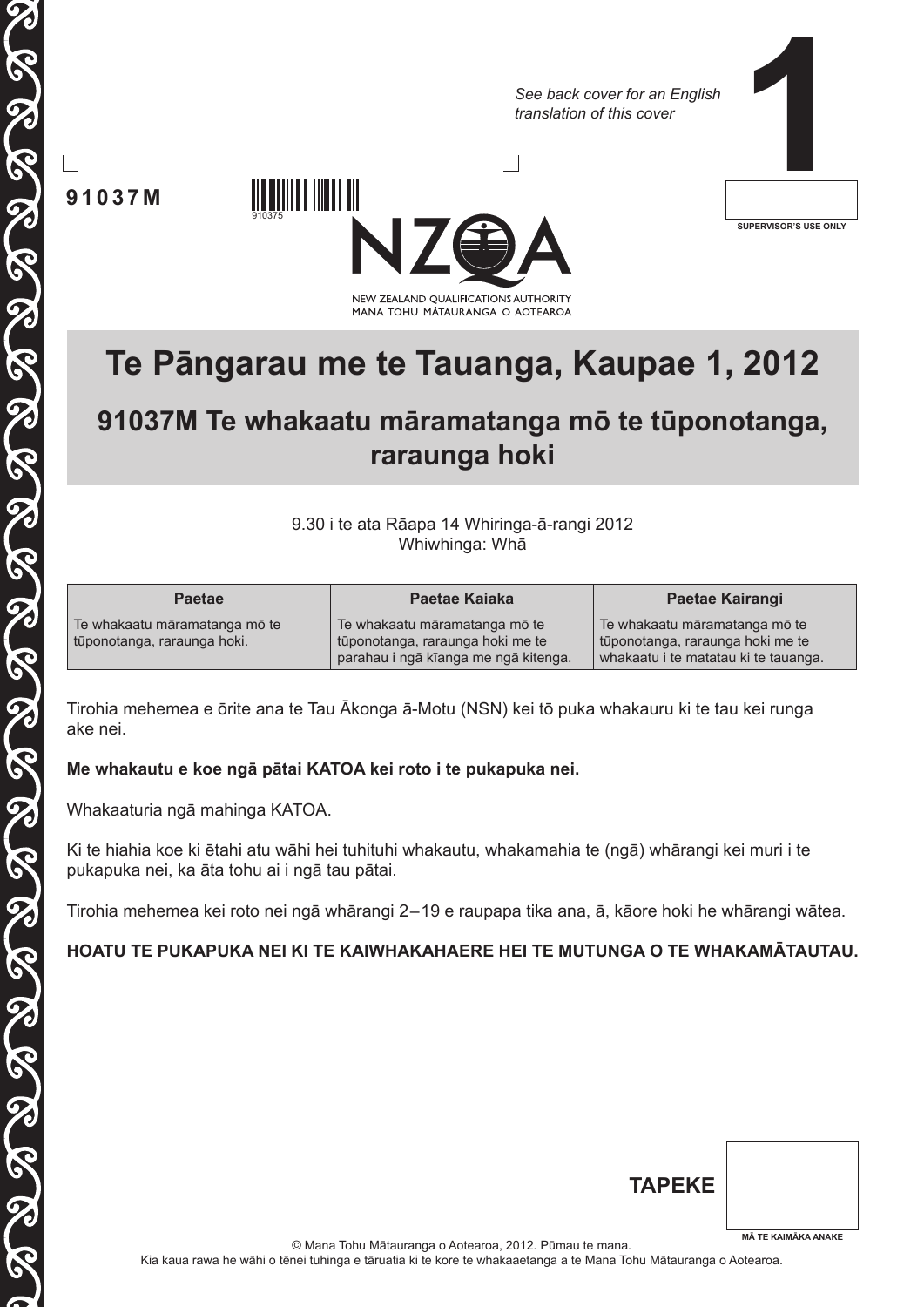*See back cover for an English translation of this cover*

**1**

**91037M**

910375



**SUPERVISOR'S USE ONLY**

# **Te Pāngarau me te Tauanga, Kaupae 1, 2012**

# **91037M Te whakaatu māramatanga mō te tūponotanga, raraunga hoki**

9.30 i te ata Rāapa 14 Whiringa-ā-rangi 2012 Whiwhinga: Whā

| <b>Paetae</b>                                                | Paetae Kajaka                                                                                             | Paetae Kairangi                                                                                           |
|--------------------------------------------------------------|-----------------------------------------------------------------------------------------------------------|-----------------------------------------------------------------------------------------------------------|
| Te whakaatu māramatanga mō te<br>tūponotanga, raraunga hoki. | Te whakaatu māramatanga mō te<br>tūponotanga, raraunga hoki me te<br>parahau i ngā kīanga me ngā kitenga. | Te whakaatu māramatanga mō te<br>tūponotanga, raraunga hoki me te<br>whakaatu i te matatau ki te tauanga. |

Tirohia mehemea e ōrite ana te Tau Ākonga ā-Motu (NSN) kei tō puka whakauru ki te tau kei runga ake nei.

### **Me whakautu e koe ngā pātai KATOA kei roto i te pukapuka nei.**

Whakaaturia ngā mahinga KATOA.

Ki te hiahia koe ki ētahi atu wāhi hei tuhituhi whakautu, whakamahia te (ngā) whārangi kei muri i te pukapuka nei, ka āta tohu ai i ngā tau pātai.

Tirohia mehemea kei roto nei ngā whārangi 2–19 e raupapa tika ana, ā, kāore hoki he whārangi wātea.

### **HOATU TE PUKAPUKA NEI KI TE KAIWHAKAHAERE HEI TE MUTUNGA O TE WHAKAMĀTAUTAU.**

| <b>TAPEKE</b> |                            |
|---------------|----------------------------|
|               | <b>MĀ TE KAIMĀKA ANAKE</b> |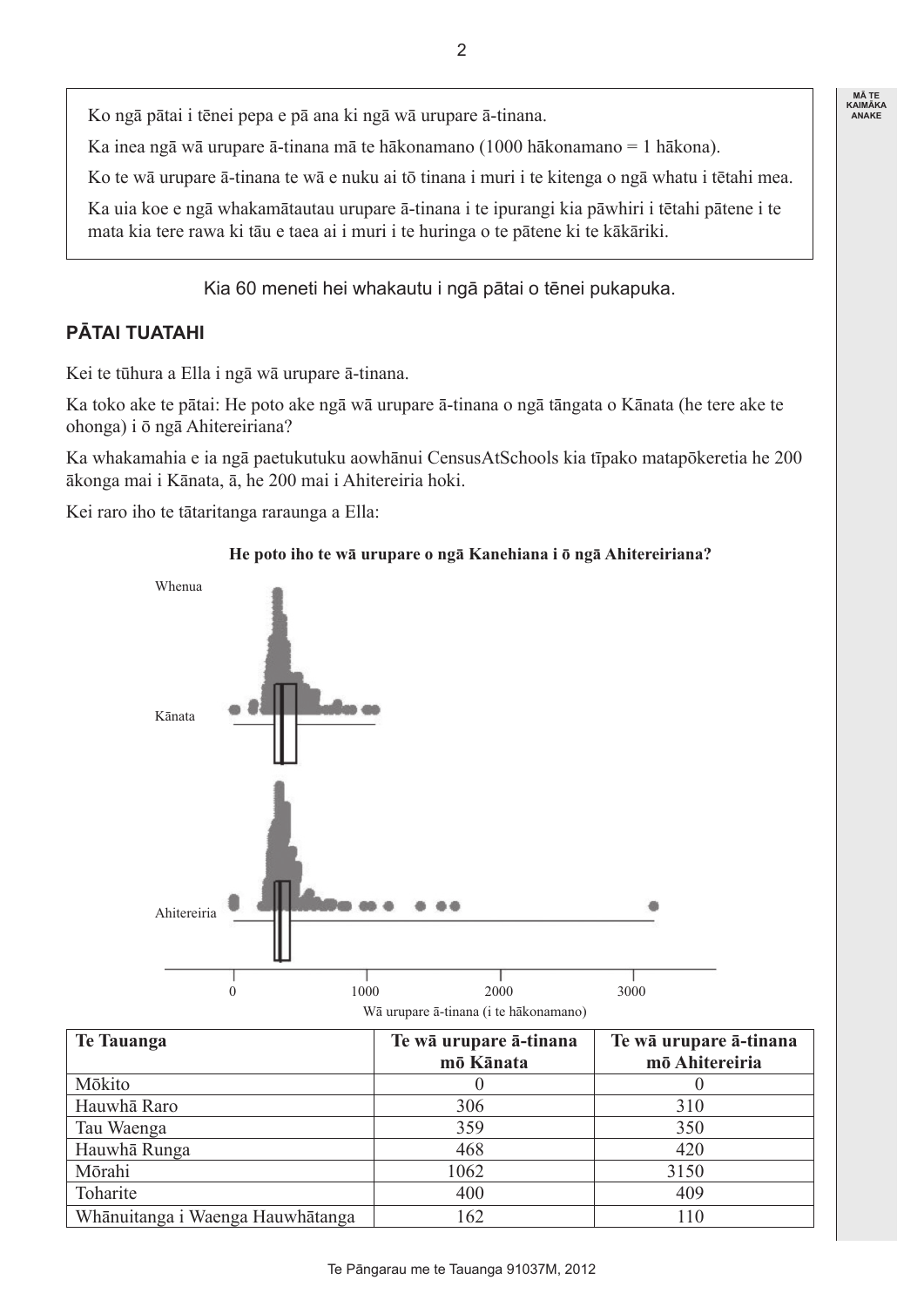**MÃ TE<br>KAIMÃKA<br>ANAKE** 

Ko ngā pātai i tēnei pepa e pā ana ki ngā wā urupare ā-tinana.

Ka inea ngā wā urupare ā-tinana mā te hākonamano (1000 hākonamano = 1 hākona).

Ko te wā urupare ā-tinana te wā e nuku ai tō tinana i muri i te kitenga o ngā whatu i tētahi mea.

Ka uia koe e ngā whakamātautau urupare ā-tinana i te ipurangi kia pāwhiri i tētahi pātene i te mata kia tere rawa ki tāu e taea ai i muri i te huringa o te pātene ki te kākāriki.

Kia 60 meneti hei whakautu i ngā pātai o tēnei pukapuka.

## **PĀTAI TUATAHI**

Kei te tūhura a Ella i ngā wā urupare ā-tinana.

Ka toko ake te pātai: He poto ake ngā wā urupare ā-tinana o ngā tāngata o Kānata (he tere ake te ohonga) i ō ngā Ahitereiriana?

Ka whakamahia e ia ngā paetukutuku aowhānui CensusAtSchools kia tīpako matapōkeretia he 200 ākonga mai i Kānata, ā, he 200 mai i Ahitereiria hoki.

Kei raro iho te tātaritanga raraunga a Ella:

#### **He poto iho te wā urupare o ngā Kanehiana i ō ngā Ahitereiriana?**



| <b>Te Tauanga</b>                | Te wā urupare ā-tinana | Te wā urupare ā-tinana |
|----------------------------------|------------------------|------------------------|
|                                  | mō Kānata              | mō Ahitereiria         |
| Mōkito                           |                        |                        |
| Hauwhā Raro                      | 306                    | 310                    |
| Tau Waenga                       | 359                    | 350                    |
| Hauwhā Runga                     | 468                    | 420                    |
| Mōrahi                           | 1062                   | 3150                   |
| Toharite                         | 400                    | 409                    |
| Whānuitanga i Waenga Hauwhātanga | 162                    | 110                    |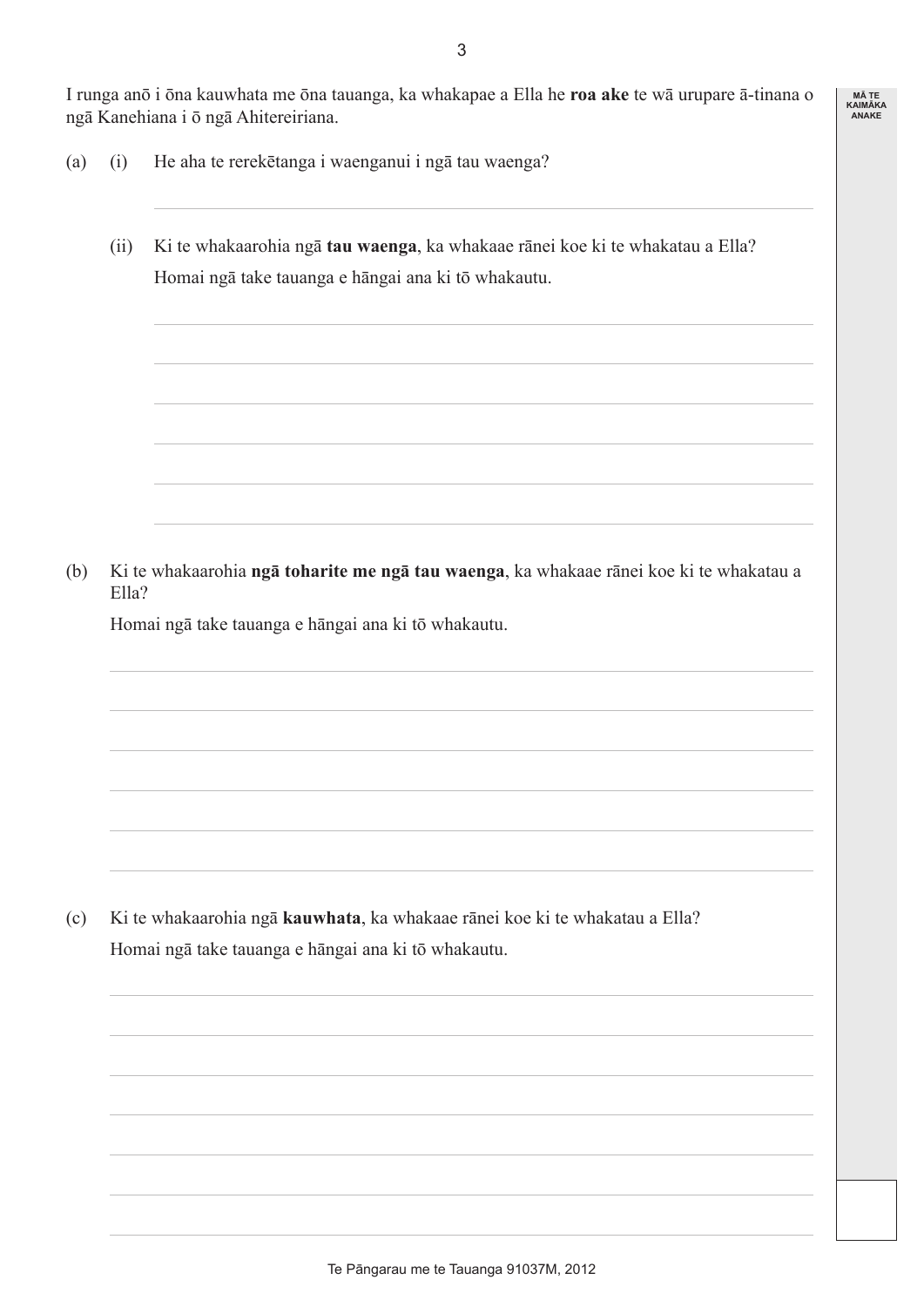I runga anō i ōna kauwhata me ōna tauanga, ka whakapae a Ella he **roa ake** te wā urupare ā-tinana o ngā Kanehiana i ō ngā Ahitereiriana.

- (a) (i) He aha te rerekētanga i waenganui i ngā tau waenga?
	- (ii) Ki te whakaarohia ngā **tau waenga**, ka whakaae rānei koe ki te whakatau a Ella? Homai ngā take tauanga e hāngai ana ki tō whakautu.

(b) Ki te whakaarohia **ngā toharite me ngā tau waenga**, ka whakaae rānei koe ki te whakatau a Ella?

Homai ngā take tauanga e hāngai ana ki tō whakautu.

(c) Ki te whakaarohia ngā **kauwhata**, ka whakaae rānei koe ki te whakatau a Ella? Homai ngā take tauanga e hāngai ana ki tō whakautu.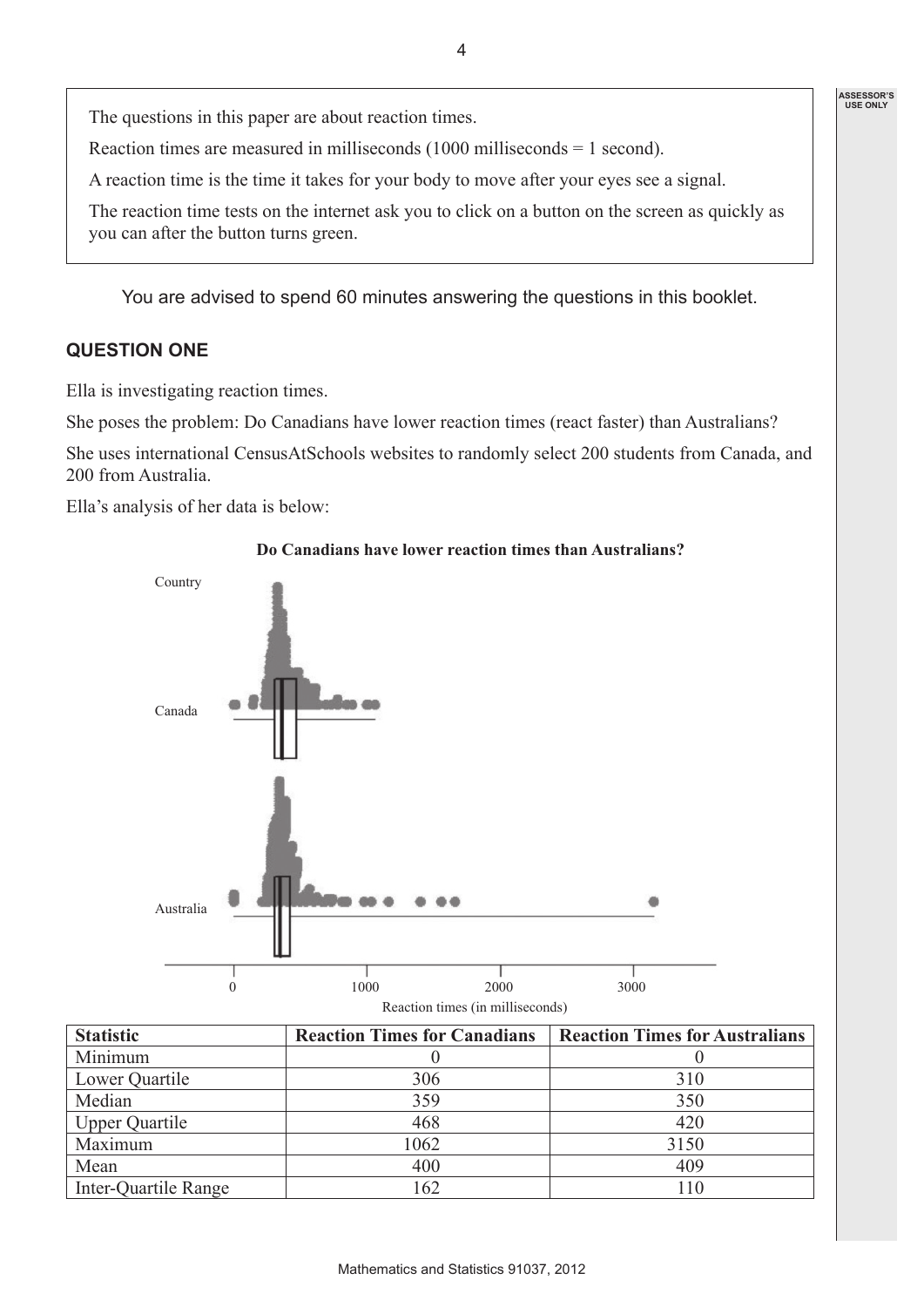The questions in this paper are about reaction times.

Reaction times are measured in milliseconds (1000 milliseconds = 1 second).

A reaction time is the time it takes for your body to move after your eyes see a signal.

The reaction time tests on the internet ask you to click on a button on the screen as quickly as you can after the button turns green.

4

You are advised to spend 60 minutes answering the questions in this booklet.

### **QUESTION ONE**

Ella is investigating reaction times.

She poses the problem: Do Canadians have lower reaction times (react faster) than Australians?

She uses international CensusAtSchools websites to randomly select 200 students from Canada, and 200 from Australia.

Ella's analysis of her data is below:



#### **Do Canadians have lower reaction times than Australians?**

| <b>Statistic</b>      | <b>Reaction Times for Canadians</b> | <b>Reaction Times for Australians</b> |
|-----------------------|-------------------------------------|---------------------------------------|
| Minimum               |                                     |                                       |
| Lower Quartile        | 306                                 | 310                                   |
| Median                | 359                                 | 350                                   |
| <b>Upper Quartile</b> | 468                                 | 420                                   |
| Maximum               | 1062                                | 3150                                  |
| Mean                  | 400                                 | 409                                   |
| Inter-Quartile Range  | 162                                 | 110                                   |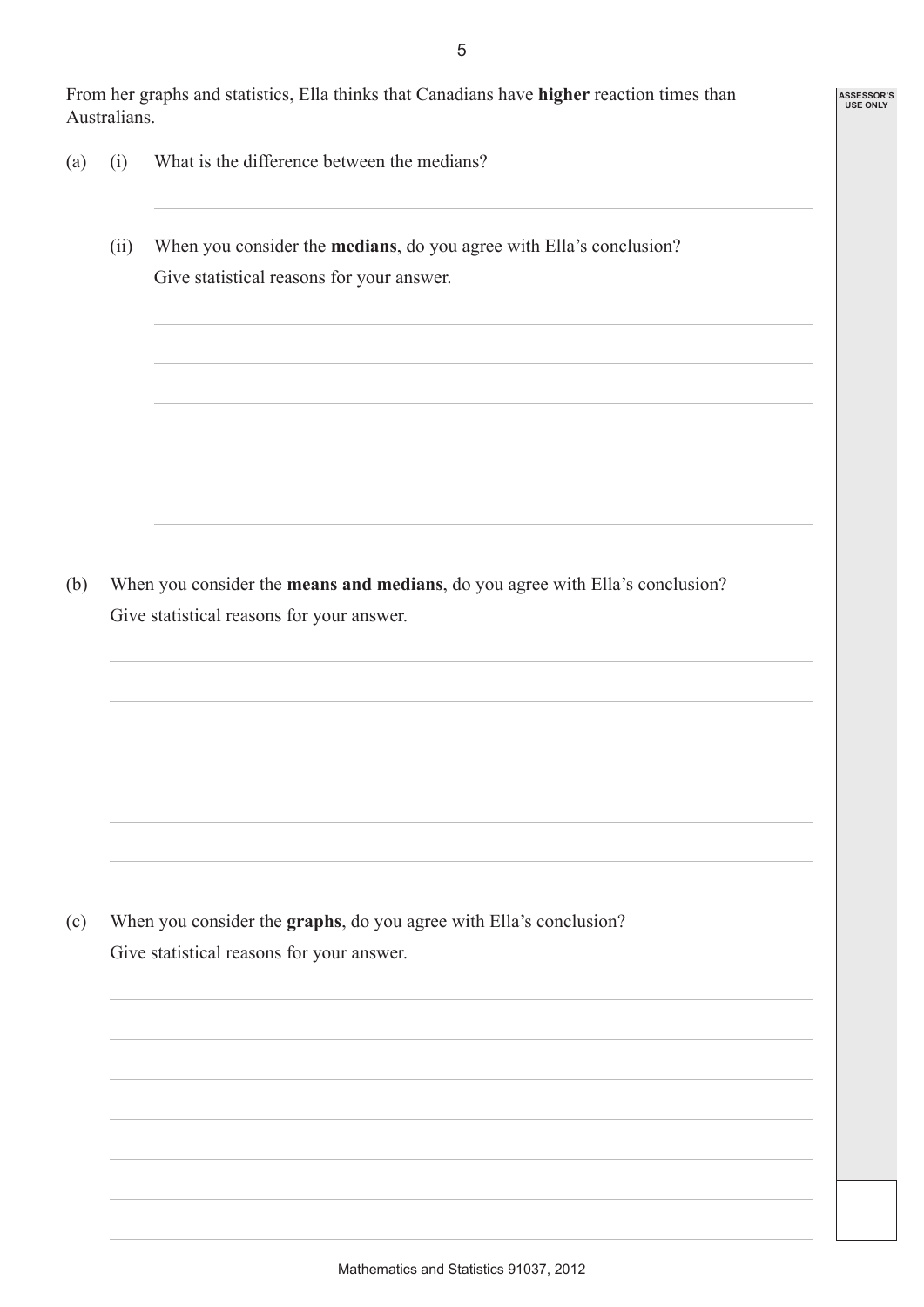From her graphs and statistics, Ella thinks that Canadians have **higher** reaction times than Australians.

5

**ASSESSOR'S USE ONLY**

- (a) (i) What is the difference between the medians?
	- (ii) When you consider the **medians**, do you agree with Ella's conclusion? Give statistical reasons for your answer.

(b) When you consider the **means and medians**, do you agree with Ella's conclusion? Give statistical reasons for your answer.

(c) When you consider the **graphs**, do you agree with Ella's conclusion? Give statistical reasons for your answer.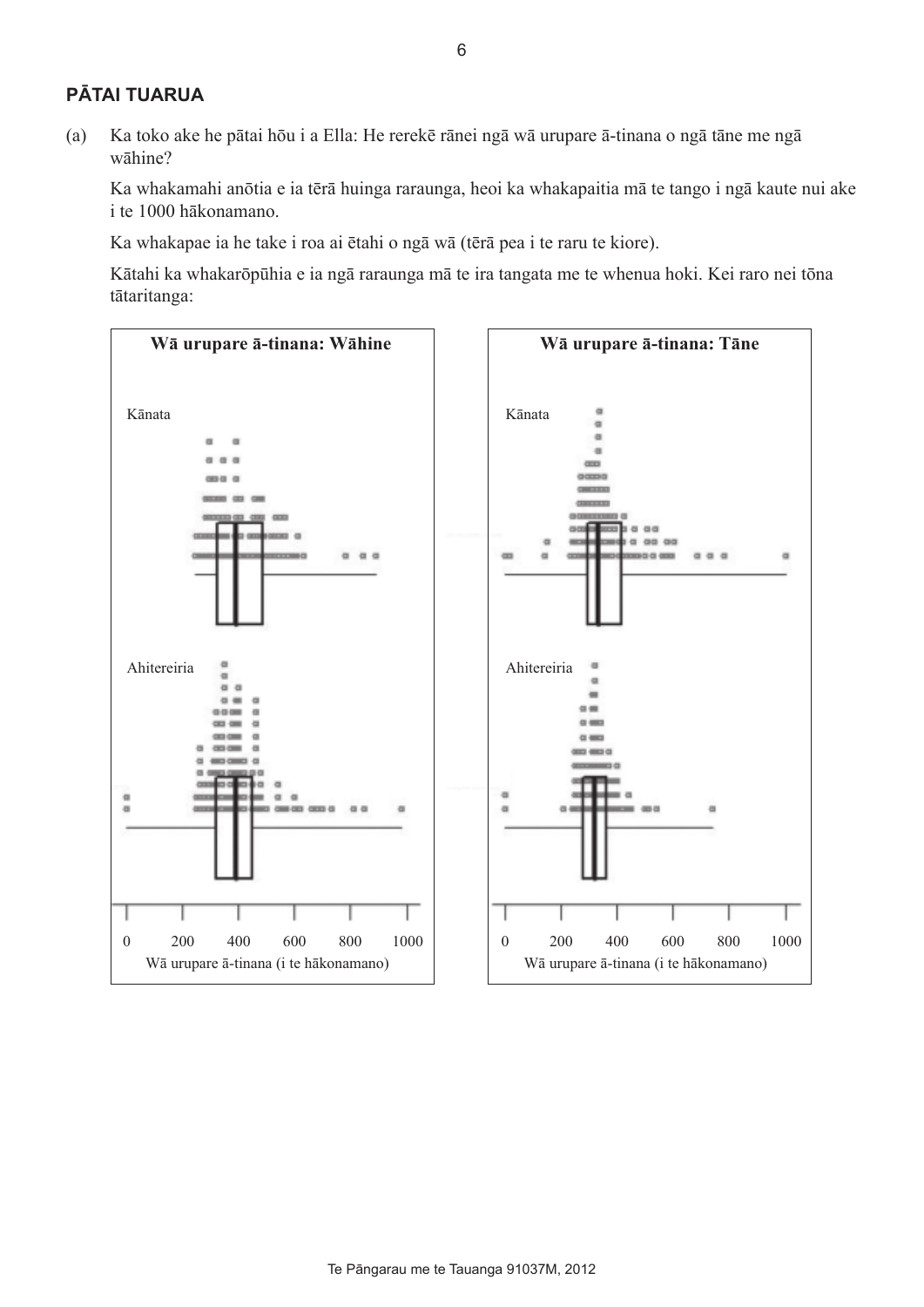### **PĀTAI TUARUA**

(a) Ka toko ake he pātai hōu i a Ella: He rerekē rānei ngā wā urupare ā-tinana o ngā tāne me ngā wāhine?

Ka whakamahi anōtia e ia tērā huinga raraunga, heoi ka whakapaitia mā te tango i ngā kaute nui ake i te 1000 hākonamano.

Ka whakapae ia he take i roa ai ētahi o ngā wā (tērā pea i te raru te kiore).

Kātahi ka whakarōpūhia e ia ngā raraunga mā te ira tangata me te whenua hoki. Kei raro nei tōna tātaritanga:

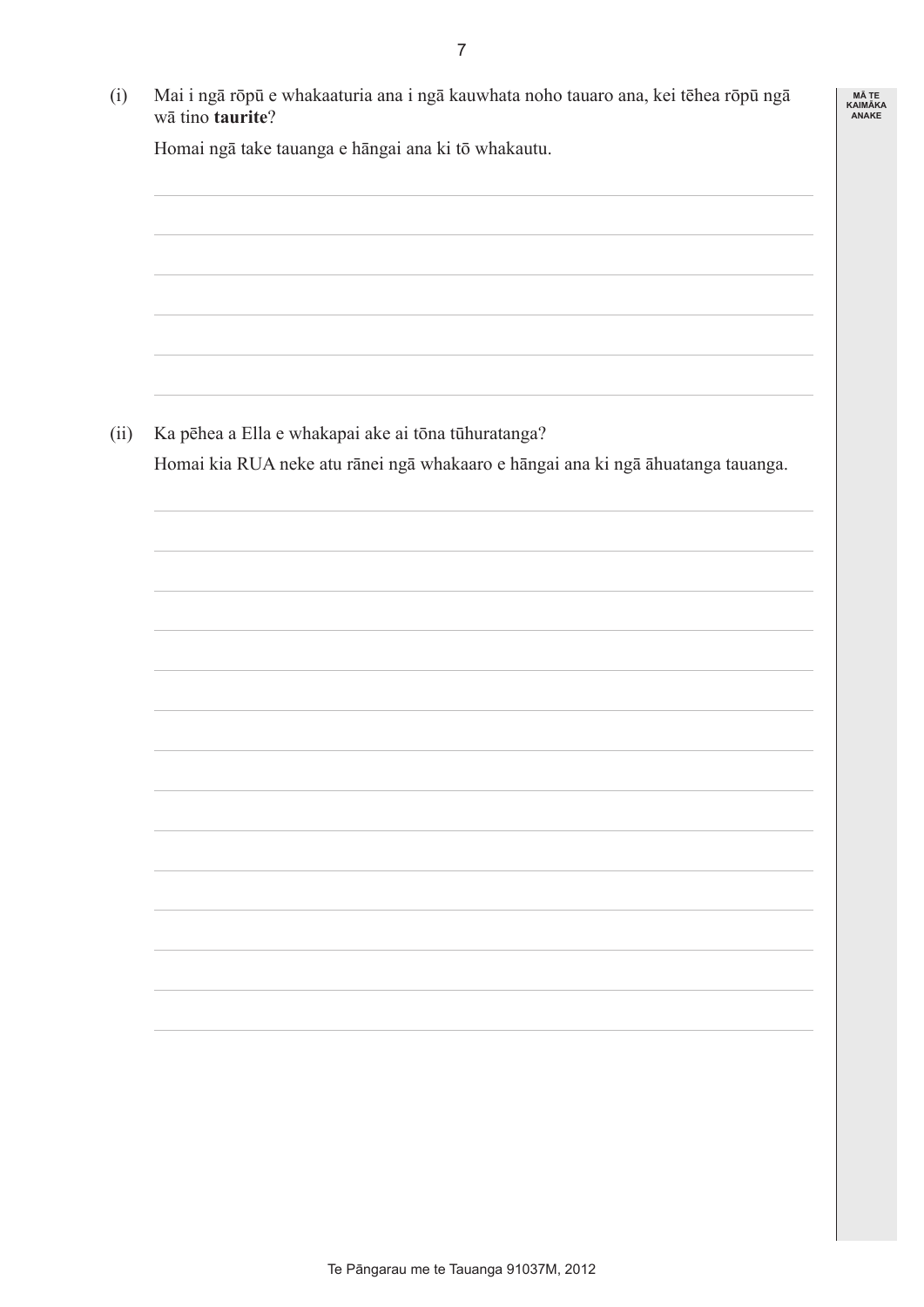| wā tino taurite? | Mai i ngā rōpū e whakaaturia ana i ngā kauwhata noho tauaro ana, kei tēhea rōpū ngā |
|------------------|-------------------------------------------------------------------------------------|
|                  | Homai ngā take tauanga e hāngai ana ki tō whakautu.                                 |
|                  |                                                                                     |
|                  |                                                                                     |
|                  |                                                                                     |
|                  |                                                                                     |
|                  |                                                                                     |
|                  |                                                                                     |
|                  | Ka pēhea a Ella e whakapai ake ai tōna tūhuratanga?                                 |
|                  | Homai kia RUA neke atu rānei ngā whakaaro e hāngai ana ki ngā āhuatanga tauanga.    |
|                  |                                                                                     |
|                  |                                                                                     |
|                  |                                                                                     |
|                  |                                                                                     |
|                  |                                                                                     |
|                  |                                                                                     |
|                  |                                                                                     |
|                  |                                                                                     |
|                  |                                                                                     |
|                  |                                                                                     |
|                  |                                                                                     |
|                  |                                                                                     |
|                  |                                                                                     |
|                  |                                                                                     |
|                  |                                                                                     |
|                  |                                                                                     |
|                  |                                                                                     |
|                  |                                                                                     |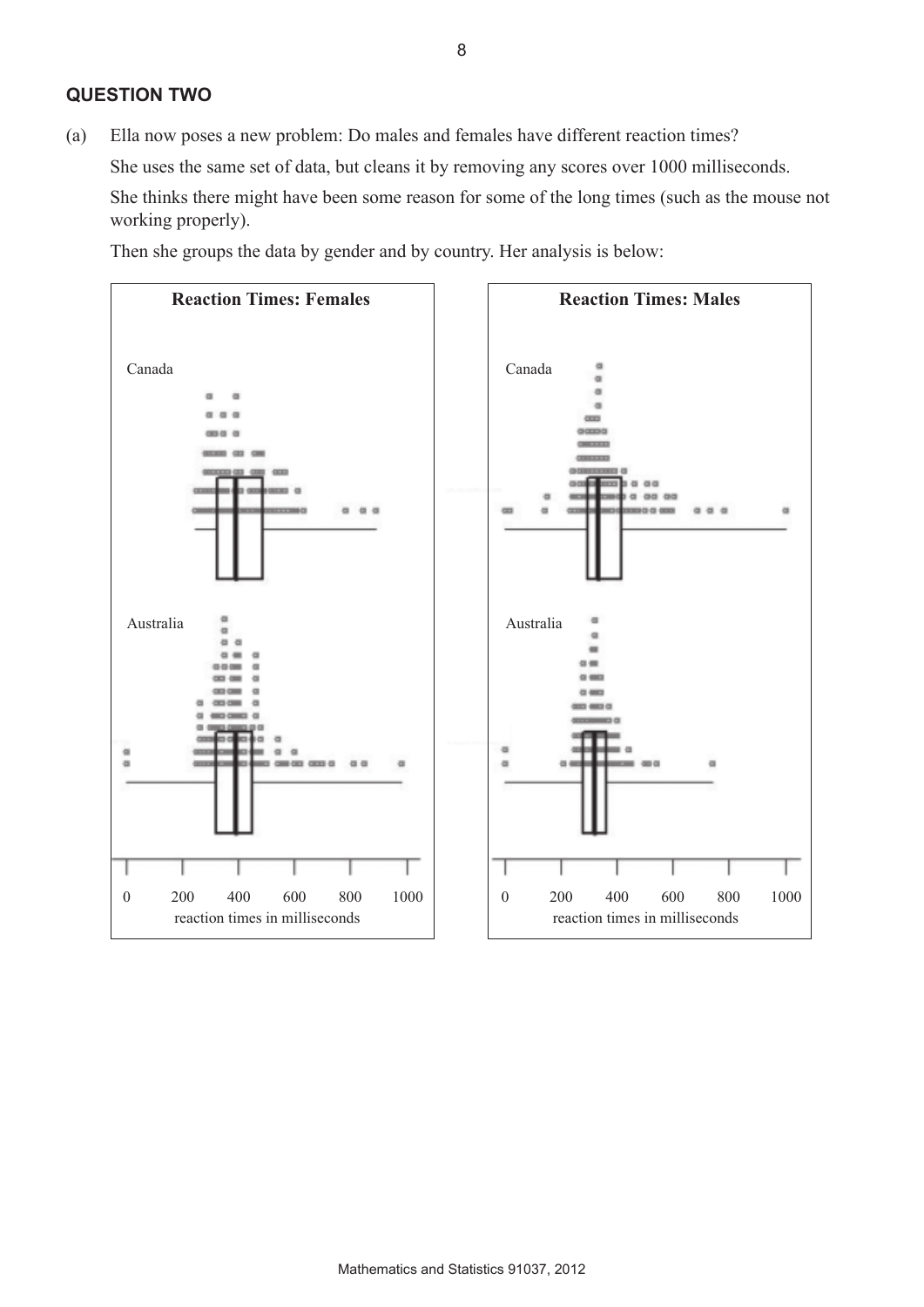### **QUESTION TWO**

(a) Ella now poses a new problem: Do males and females have different reaction times? She uses the same set of data, but cleans it by removing any scores over 1000 milliseconds. She thinks there might have been some reason for some of the long times (such as the mouse not working properly).

Then she groups the data by gender and by country. Her analysis is below:

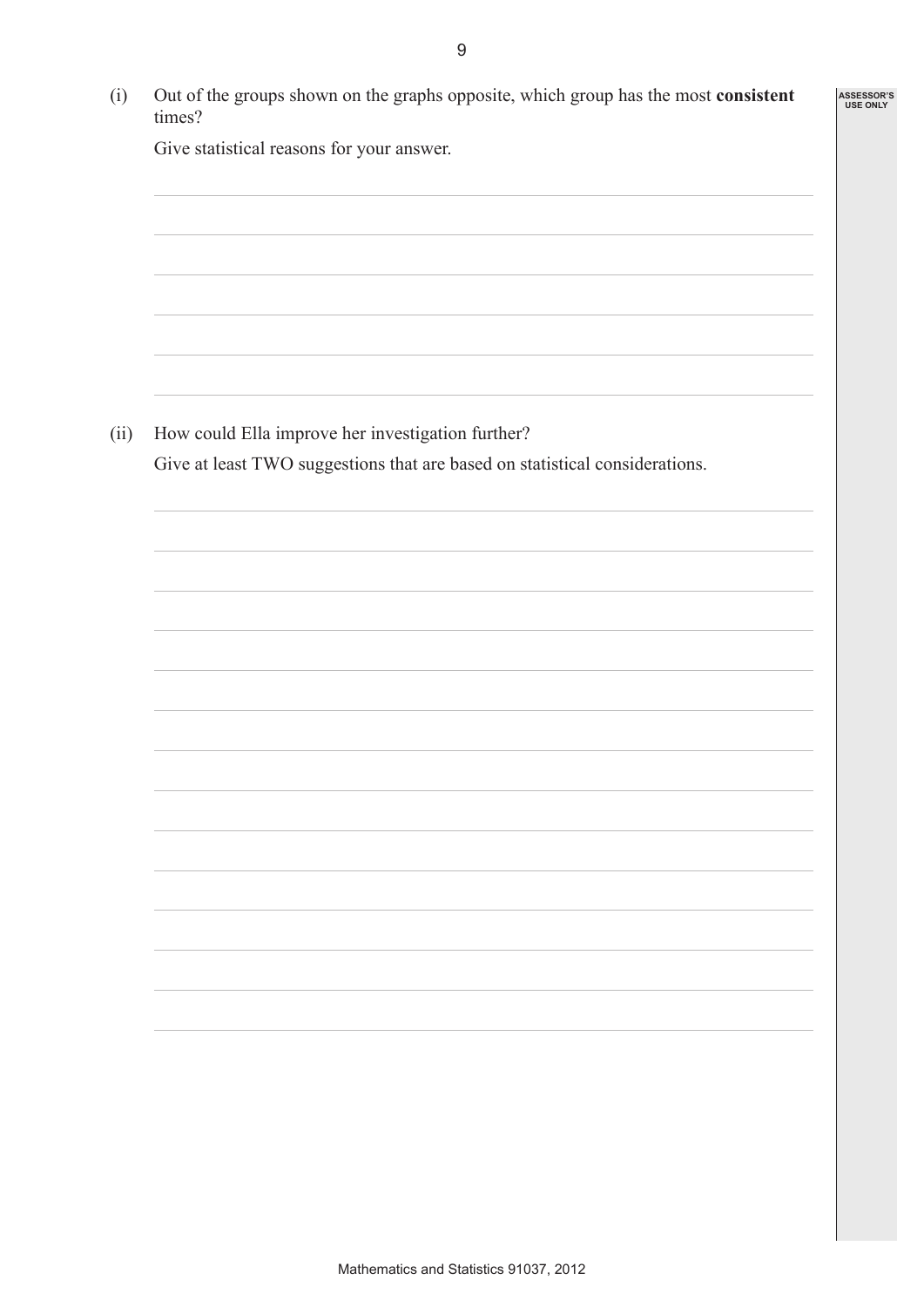| Out of the groups shown on the graphs opposite, which group has the most consistent<br>times? | <b>ASSESSOR'S</b><br><b>USE ONLY</b> |
|-----------------------------------------------------------------------------------------------|--------------------------------------|
| Give statistical reasons for your answer.                                                     |                                      |
|                                                                                               |                                      |
|                                                                                               |                                      |
|                                                                                               |                                      |
|                                                                                               |                                      |
|                                                                                               |                                      |
| How could Ella improve her investigation further?                                             |                                      |
| Give at least TWO suggestions that are based on statistical considerations.                   |                                      |
|                                                                                               |                                      |
|                                                                                               |                                      |
|                                                                                               |                                      |
|                                                                                               |                                      |
|                                                                                               |                                      |
|                                                                                               |                                      |
|                                                                                               |                                      |
|                                                                                               |                                      |
|                                                                                               |                                      |
|                                                                                               |                                      |
|                                                                                               |                                      |
|                                                                                               |                                      |
|                                                                                               |                                      |
|                                                                                               |                                      |
|                                                                                               |                                      |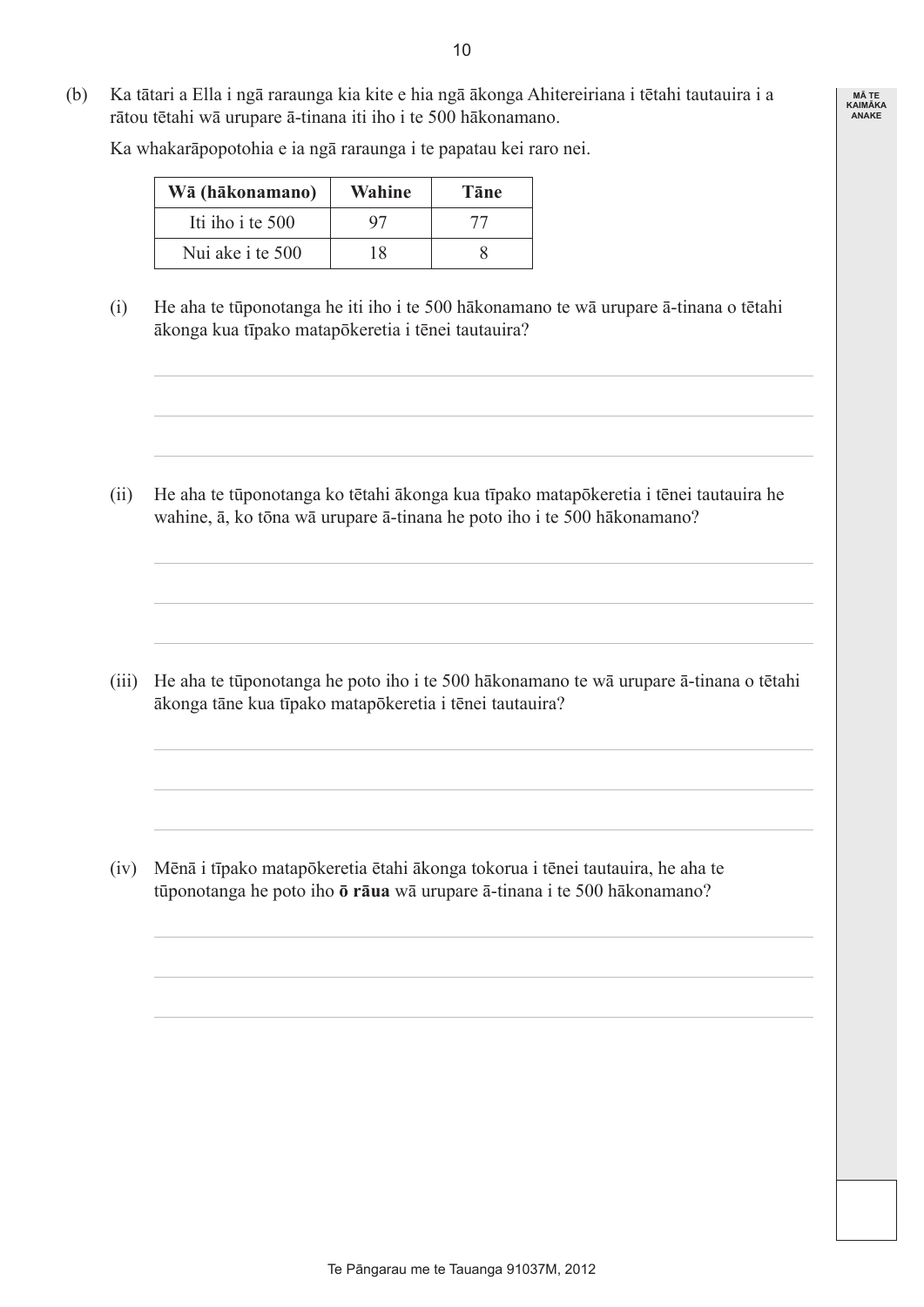(b) Ka tātari a Ella i ngā raraunga kia kite e hia ngā ākonga Ahitereiriana i tētahi tautauira i a rātou tētahi wā urupare ā-tinana iti iho i te 500 hākonamano.

Ka whakarāpopotohia e ia ngā raraunga i te papatau kei raro nei.

| Wā (hākonamano)  | Wahine | Tāne |
|------------------|--------|------|
| Iti iho i te 500 | 97     | 77   |
| Nui ake i te 500 | 18     |      |

(i) He aha te tūponotanga he iti iho i te 500 hākonamano te wā urupare ā-tinana o tētahi ākonga kua tīpako matapōkeretia i tēnei tautauira?

(ii) He aha te tūponotanga ko tētahi ākonga kua tīpako matapōkeretia i tēnei tautauira he wahine, ā, ko tōna wā urupare ā-tinana he poto iho i te 500 hākonamano?

(iii) He aha te tūponotanga he poto iho i te 500 hākonamano te wā urupare ā-tinana o tētahi ākonga tāne kua tīpako matapōkeretia i tēnei tautauira?

(iv) Mēnā i tīpako matapōkeretia ētahi ākonga tokorua i tēnei tautauira, he aha te tūponotanga he poto iho **ō rāua** wā urupare ā-tinana i te 500 hākonamano?

**MĀ TE KAIMĀKA ANAKE**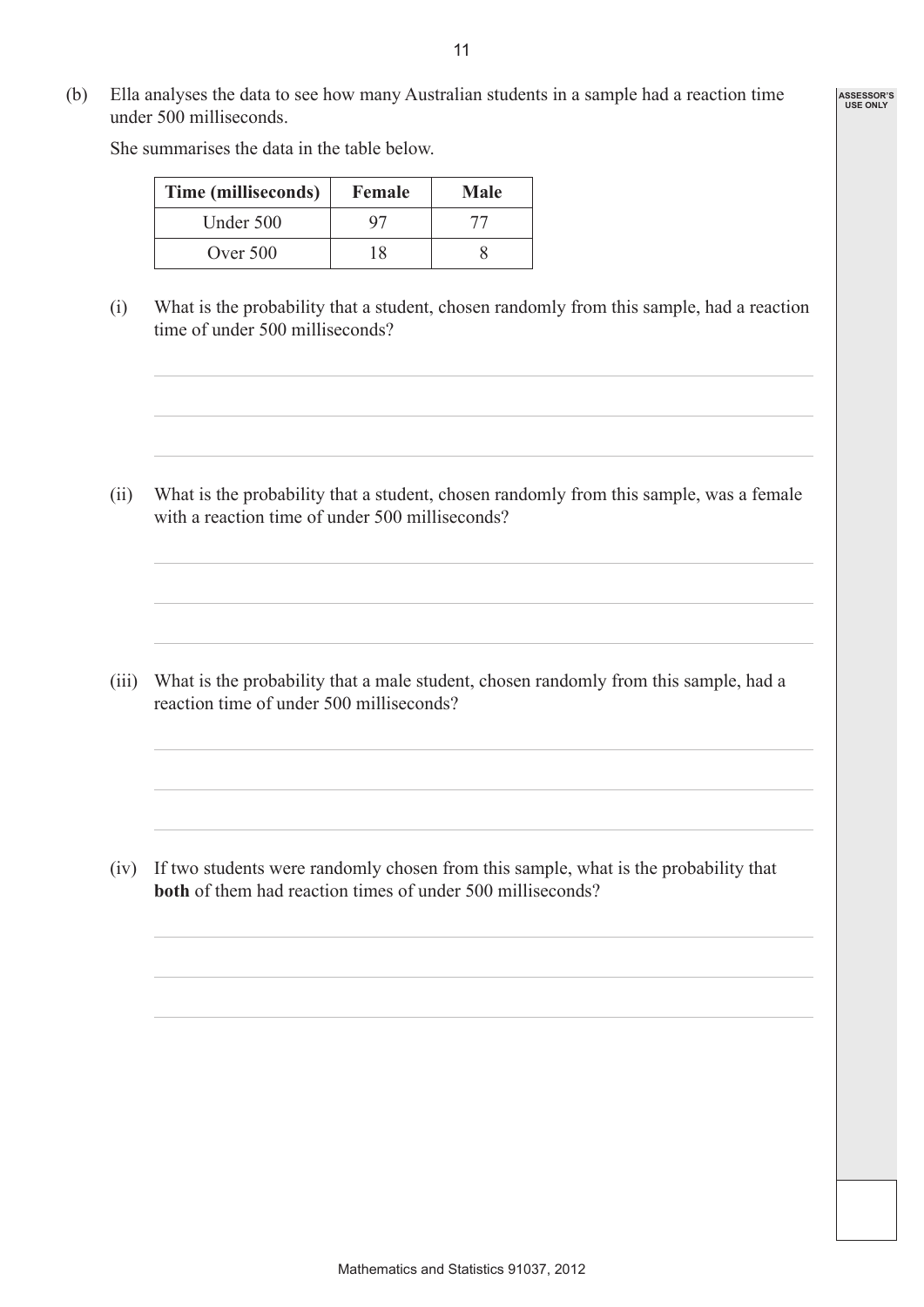(b) Ella analyses the data to see how many Australian students in a sample had a reaction time under 500 milliseconds.

> **Time (milliseconds) Female Male** Under 500 97 77

> > Over 500 18 8

She summarises the data in the table below.

(i) What is the probability that a student, chosen randomly from this sample, had a reaction time of under 500 milliseconds?

(ii) What is the probability that a student, chosen randomly from this sample, was a female with a reaction time of under 500 milliseconds?

(iii) What is the probability that a male student, chosen randomly from this sample, had a reaction time of under 500 milliseconds?

(iv) If two students were randomly chosen from this sample, what is the probability that **both** of them had reaction times of under 500 milliseconds?

**ASSESSOR'S USE ONLY**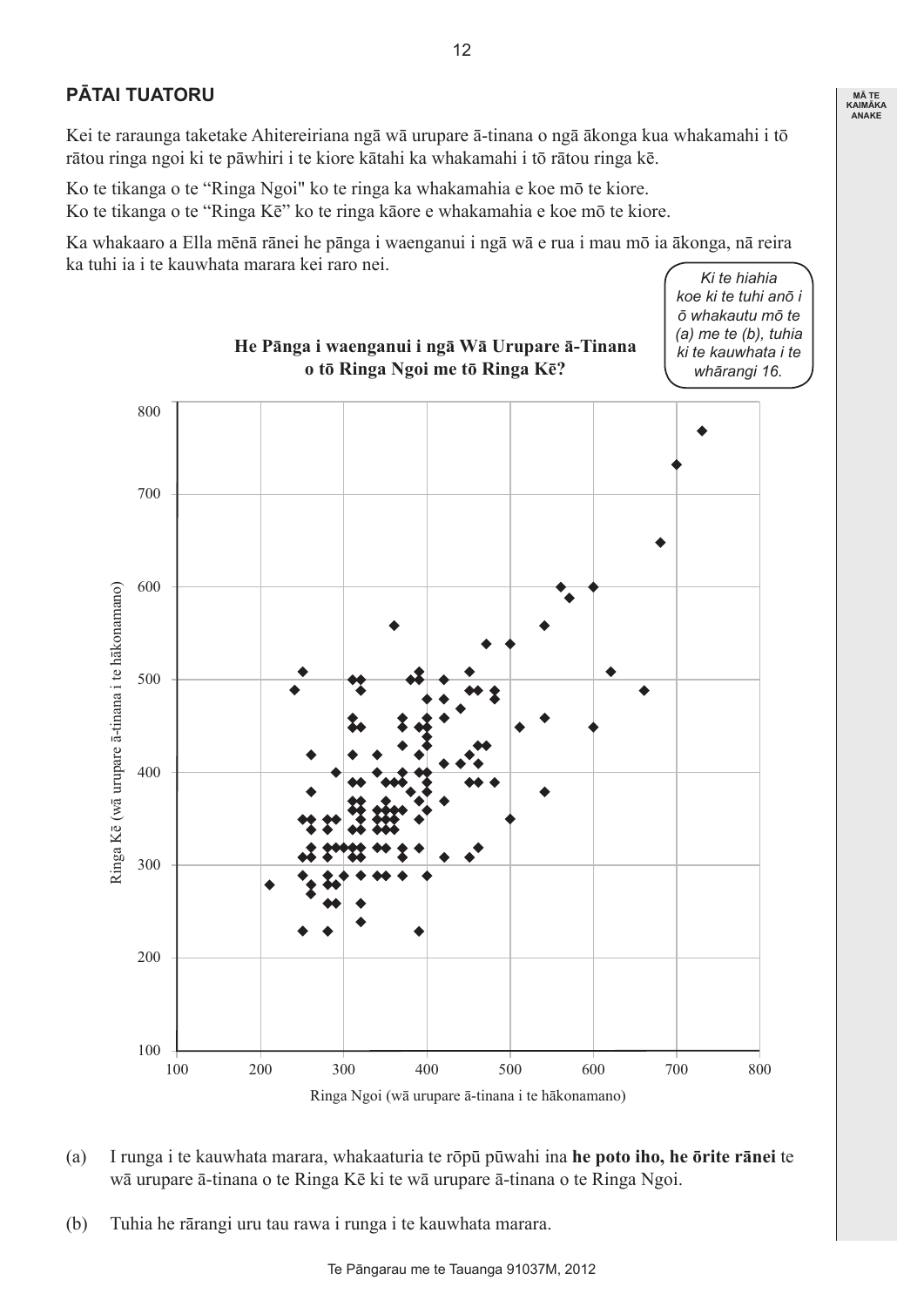## **PĀTAI TUATORU**

Kei te raraunga taketake Ahitereiriana ngā wā urupare ā-tinana o ngā ākonga kua whakamahi i tō rātou ringa ngoi ki te pāwhiri i te kiore kātahi ka whakamahi i tō rātou ringa kē.

Ko te tikanga o te "Ringa Ngoi" ko te ringa ka whakamahia e koe mō te kiore. Ko te tikanga o te "Ringa Kē" ko te ringa kāore e whakamahia e koe mō te kiore.

Ka whakaaro a Ella mēnā rānei he pānga i waenganui i ngā wā e rua i mau mō ia ākonga, nā reira ka tuhi ia i te kauwhata marara kei raro nei.

**He Pānga i waenganui i ngā Wā Urupare ā-Tinana o tō Ringa Ngoi me tō Ringa Kē?** *whārangi 16.*800 700 600 Ringa Kē (wā urupare ā-tinana i te hākonamano) Ringa Kē (wā urupare ā-tinana i te hākonamano) 500 400 300 200 100 100 200 300 400 500 600 700 800 Ringa Ngoi (wā urupare ā-tinana i te hākonamano)

- (a) I runga i te kauwhata marara, whakaaturia te rōpū pūwahi ina **he poto iho, he ōrite rānei** te wā urupare ā-tinana o te Ringa Kē ki te wā urupare ā-tinana o te Ringa Ngoi.
- (b) Tuhia he rārangi uru tau rawa i runga i te kauwhata marara.

*Ki te hiahia koe ki te tuhi anō i ō whakautu mō te (a) me te (b), tuhia ki te kauwhata i te* 

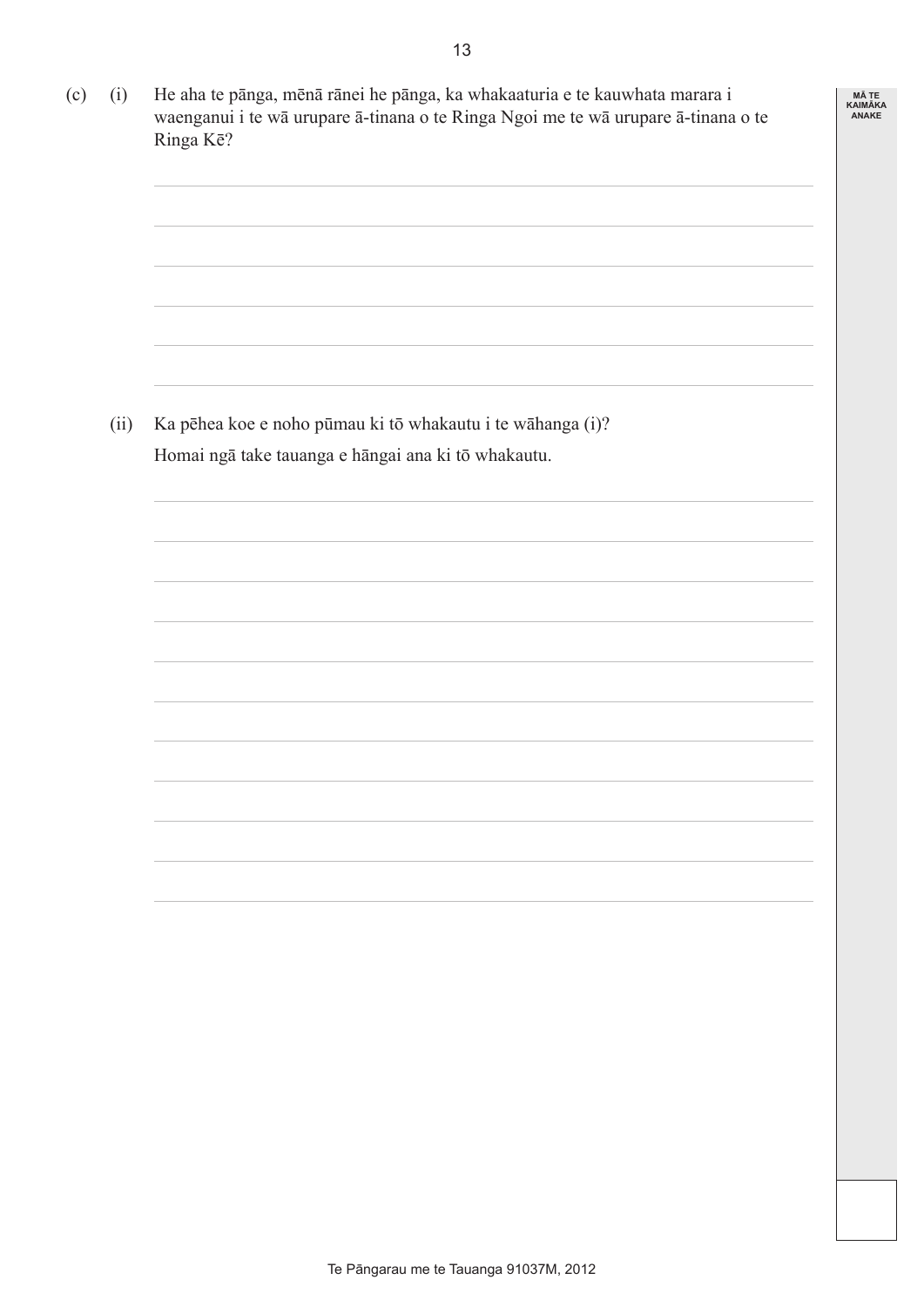| (i)  | He aha te pānga, mēnā rānei he pānga, ka whakaaturia e te kauwhata marara i<br>waenganui i te wā urupare ā-tinana o te Ringa Ngoi me te wā urupare ā-tinana o te<br>Ringa Ke? | <b>MÅ TE</b><br><b>KAIMĀKA</b><br><b>ANAKE</b> |
|------|-------------------------------------------------------------------------------------------------------------------------------------------------------------------------------|------------------------------------------------|
|      |                                                                                                                                                                               |                                                |
| (ii) | Ka pēhea koe e noho pūmau ki tō whakautu i te wāhanga (i)?                                                                                                                    |                                                |
|      | Homai ngā take tauanga e hāngai ana ki tō whakautu.                                                                                                                           |                                                |
|      |                                                                                                                                                                               |                                                |
|      |                                                                                                                                                                               |                                                |
|      |                                                                                                                                                                               |                                                |
|      |                                                                                                                                                                               |                                                |
|      |                                                                                                                                                                               |                                                |
|      |                                                                                                                                                                               |                                                |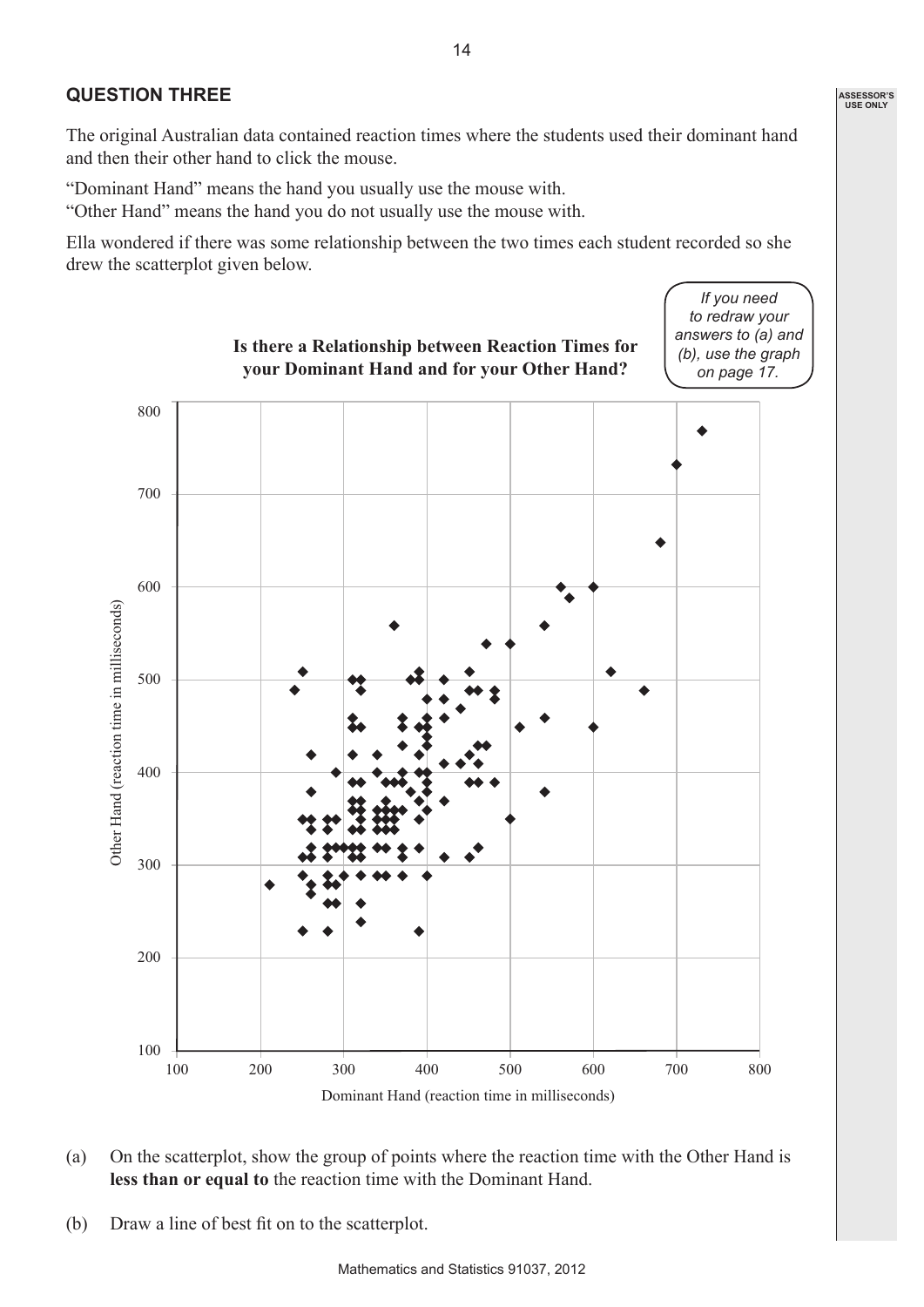### **QUESTION THREE**

The original Australian data contained reaction times where the students used their dominant hand and then their other hand to click the mouse.

"Dominant Hand" means the hand you usually use the mouse with.

"Other Hand" means the hand you do not usually use the mouse with.

Ella wondered if there was some relationship between the two times each student recorded so she drew the scatterplot given below.



- (a) On the scatterplot, show the group of points where the reaction time with the Other Hand is **less than or equal to** the reaction time with the Dominant Hand.
- (b) Draw a line of best fit on to the scatterplot.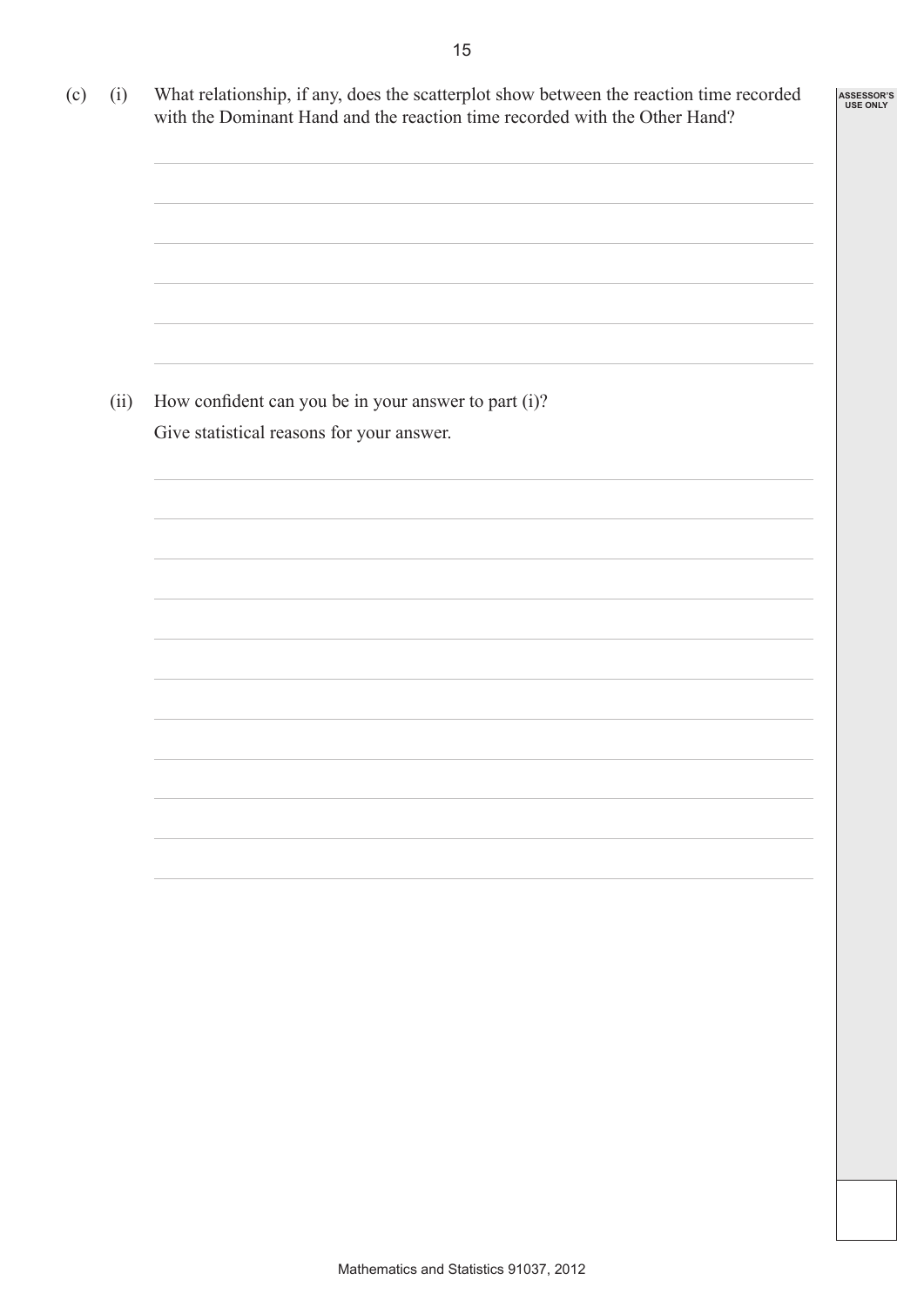| (c)<br>(i) | What relationship, if any, does the scatterplot show between the reaction time recorded<br>with the Dominant Hand and the reaction time recorded with the Other Hand? | ASSESSOR'S<br><b>USE ONLY</b> |
|------------|-----------------------------------------------------------------------------------------------------------------------------------------------------------------------|-------------------------------|
|            |                                                                                                                                                                       |                               |
|            |                                                                                                                                                                       |                               |
|            |                                                                                                                                                                       |                               |
| (ii)       | How confident can you be in your answer to part (i)?<br>Give statistical reasons for your answer.                                                                     |                               |
|            |                                                                                                                                                                       |                               |
|            |                                                                                                                                                                       |                               |
|            |                                                                                                                                                                       |                               |
|            |                                                                                                                                                                       |                               |
|            |                                                                                                                                                                       |                               |
|            |                                                                                                                                                                       |                               |
|            |                                                                                                                                                                       |                               |
|            |                                                                                                                                                                       |                               |
|            |                                                                                                                                                                       |                               |
|            |                                                                                                                                                                       |                               |
|            |                                                                                                                                                                       |                               |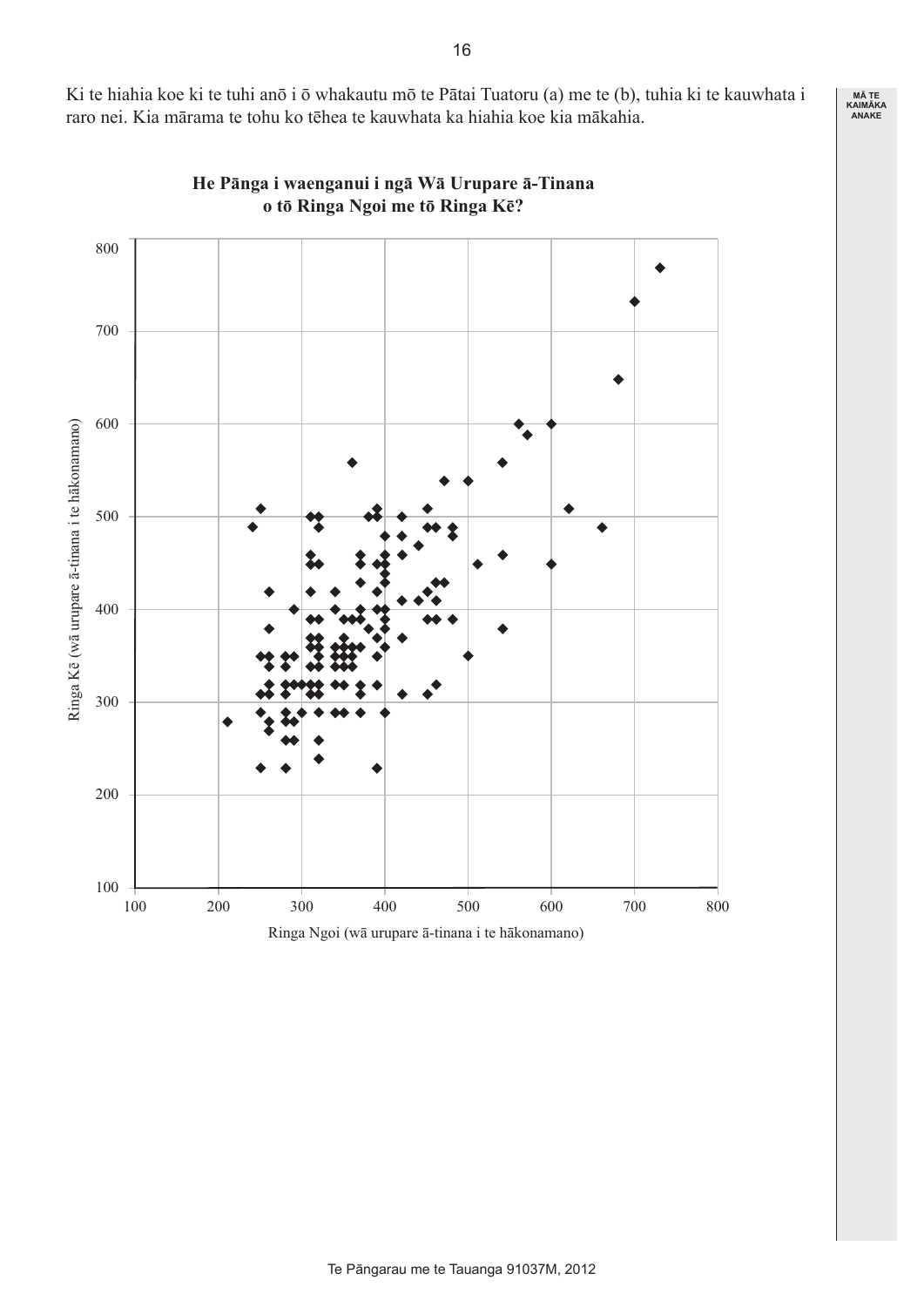Ki te hiahia koe ki te tuhi anō i ō whakautu mō te Pātai Tuatoru (a) me te (b), tuhia ki te kauwhata i raro nei. Kia mārama te tohu ko tēhea te kauwhata ka hiahia koe kia mākahia.



**He Pānga i waenganui i ngā Wā Urupare ā-Tinana o tō Ringa Ngoi me tō Ringa Kē?**

**MĀ TE KAIMĀKA ANAKE**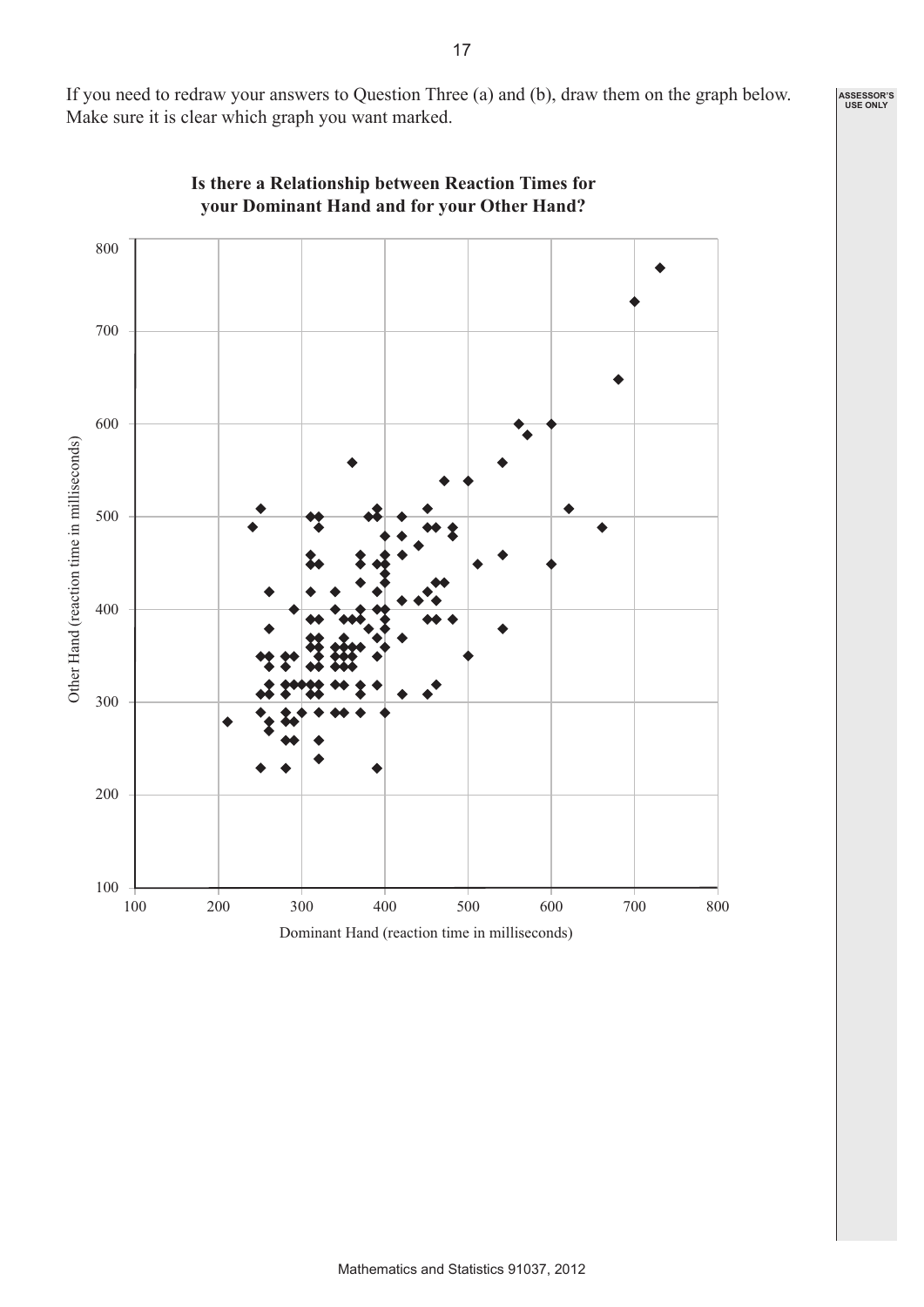If you need to redraw your answers to Question Three (a) and (b), draw them on the graph below. Make sure it is clear which graph you want marked.



**Is there a Relationship between Reaction Times for your Dominant Hand and for your Other Hand?**

**ASSESSOR'S USE ONLY**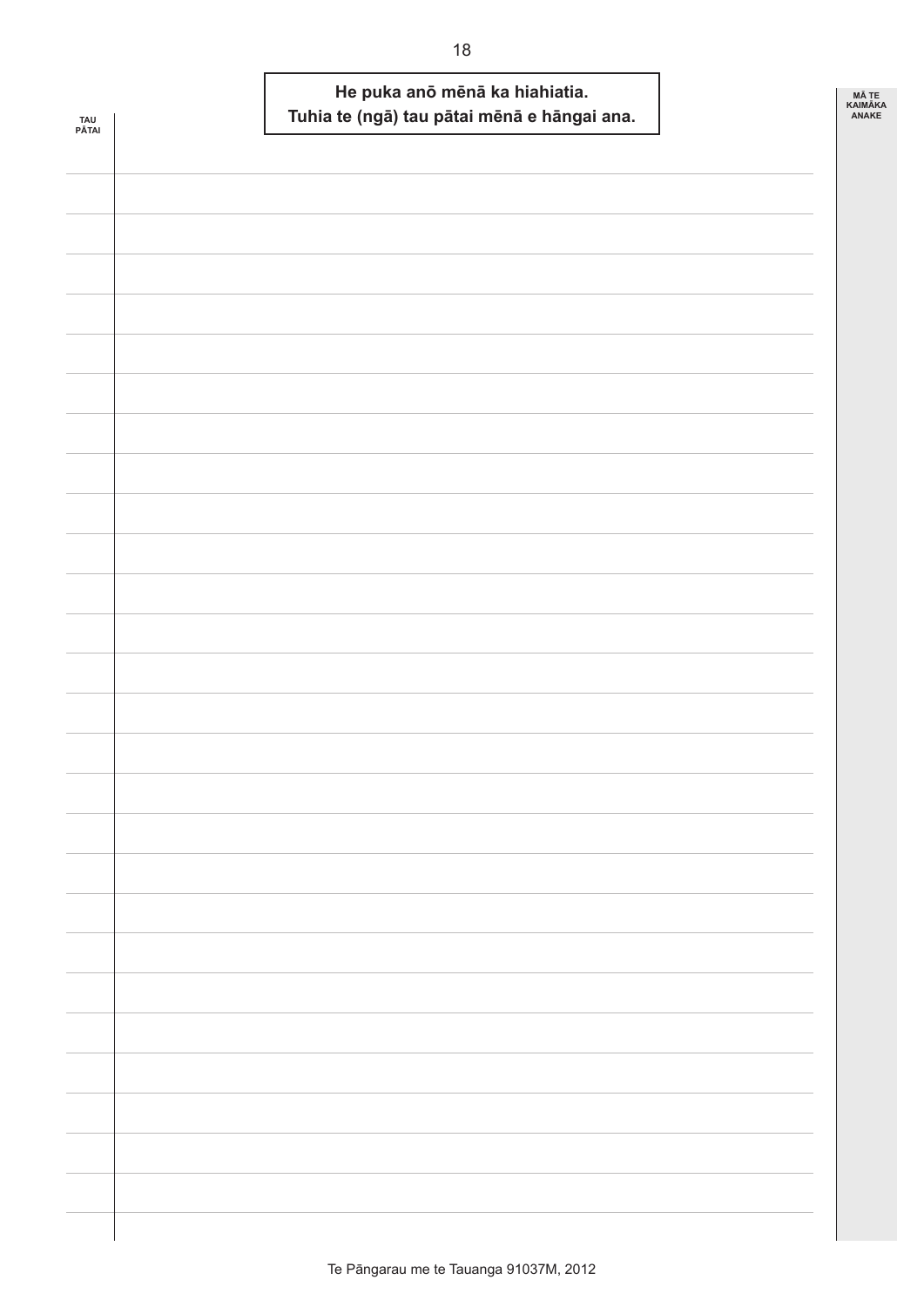|              | He puka anō mēnā ka hiahiatia.              | MÃ TE                   |
|--------------|---------------------------------------------|-------------------------|
| TAU<br>PĀTAI | Tuhia te (ngā) tau pātai mēnā e hāngai ana. | <b>KAIMÄKA</b><br>ANAKE |
|              |                                             |                         |
|              |                                             |                         |
|              |                                             |                         |
|              |                                             |                         |
|              |                                             |                         |
|              |                                             |                         |
|              |                                             |                         |
|              |                                             |                         |
|              |                                             |                         |
|              |                                             |                         |
|              |                                             |                         |
|              |                                             |                         |
|              |                                             |                         |
|              |                                             |                         |
|              |                                             |                         |
|              |                                             |                         |
|              |                                             |                         |
|              |                                             |                         |
|              |                                             |                         |
|              |                                             |                         |
|              |                                             |                         |
|              |                                             |                         |
|              |                                             |                         |
|              |                                             |                         |
|              |                                             |                         |
|              |                                             |                         |
|              |                                             |                         |
|              |                                             |                         |
|              |                                             |                         |
|              |                                             |                         |
|              |                                             |                         |
|              |                                             |                         |
|              |                                             |                         |
|              |                                             |                         |
|              |                                             |                         |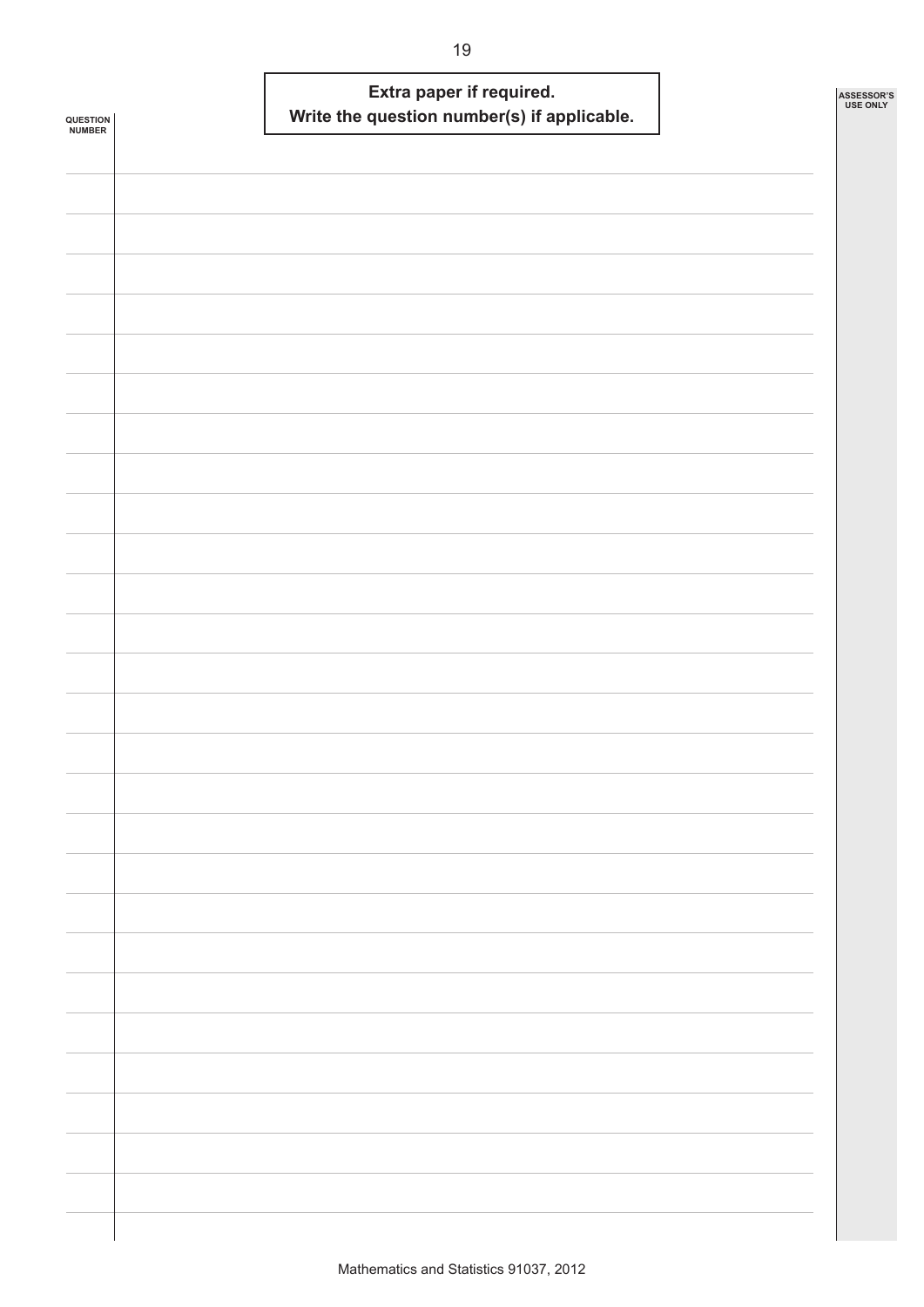| <b>QUESTION<br/>NUMBER</b> | Extra paper if required.<br>Write the question number(s) if applicable. | ASSESSOR'S<br>USE ONLY |
|----------------------------|-------------------------------------------------------------------------|------------------------|
|                            |                                                                         |                        |
|                            |                                                                         |                        |
|                            |                                                                         |                        |
|                            |                                                                         |                        |
|                            |                                                                         |                        |
|                            |                                                                         |                        |
|                            |                                                                         |                        |
|                            |                                                                         |                        |
|                            |                                                                         |                        |
|                            |                                                                         |                        |
|                            |                                                                         |                        |
|                            |                                                                         |                        |
|                            |                                                                         |                        |
|                            |                                                                         |                        |
|                            |                                                                         |                        |
|                            |                                                                         |                        |
|                            |                                                                         |                        |
|                            |                                                                         |                        |
|                            |                                                                         |                        |
|                            |                                                                         |                        |
|                            |                                                                         |                        |
|                            |                                                                         |                        |
|                            |                                                                         |                        |
|                            |                                                                         |                        |
|                            |                                                                         |                        |